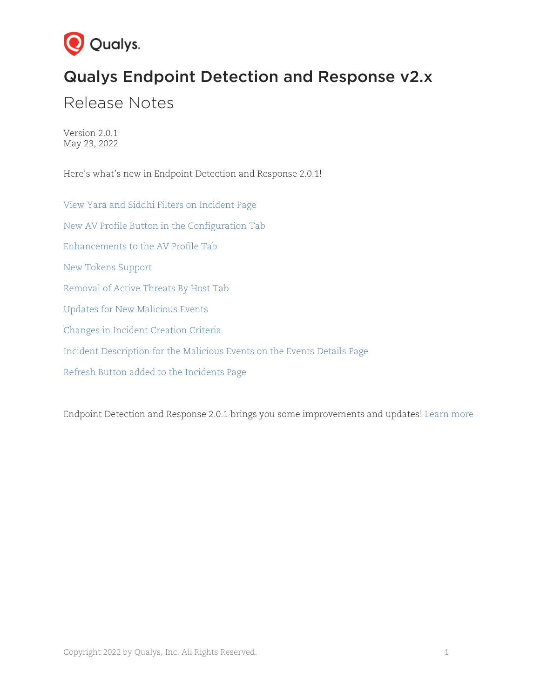

# Qualys Endpoint Detection and Response v2.x

Release Notes

Version 2.0.1 May 23, 2022

Here's what's new in Endpoint Detection and Response 2.0.1!

[View Yara and Siddhi Filters on Incident Page](#page-1-0) [New AV Profile Button in the Configuration Tab](#page-1-1) [Enhancements to the AV Profile Tab](#page-1-2) [New Tokens Support](#page-2-0) [Removal of Active Threats By Host Tab](#page-3-0) [Updates for New Malicious Events](#page-3-1) [Changes in Incident Creation Criteria](#page-4-0) [Incident Description for the Malicious Events on the Events Details Page](#page-4-1) [Refresh Button added to the Incidents Page](#page-5-0)

Endpoint Detection and Response 2.0.1 brings you some improvements and updates! [Learn more](#page-7-0)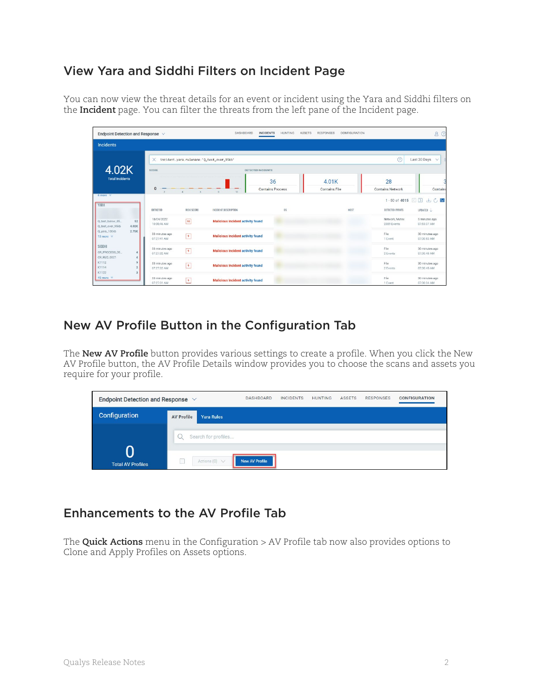#### <span id="page-1-0"></span>View Yara and Siddhi Filters on Incident Page

You can now view the threat details for an event or incident using the Yara and Siddhi filters on the **Incident** page. You can filter the threats from the left pane of the Incident page.

| Endpoint Detection and Response $\vee$ |             |                               |                   | DASHBOARD                                  | <b>HUNTING</b><br><b>INCIDENTS</b> | <b>ASSETS</b><br><b>RESPONSES</b><br>CONFIGURATION |                               | 8Q                            |
|----------------------------------------|-------------|-------------------------------|-------------------|--------------------------------------------|------------------------------------|----------------------------------------------------|-------------------------------|-------------------------------|
| <b>Incidents</b>                       |             |                               |                   |                                            |                                    |                                                    |                               |                               |
|                                        |             | ×                             |                   | incident.yara.rulename: 'O_test_over_95kb' |                                    |                                                    | $\odot$                       | Last 30 Days $\vee$           |
| 4.02K                                  |             | SCORE                         |                   | DETECTED INCIDENTS                         |                                    |                                                    |                               |                               |
| <b>Total Incidents</b>                 |             |                               |                   |                                            | 36                                 | 4.01K                                              | 28                            |                               |
|                                        |             |                               |                   | 10                                         | <b>Contains Process</b>            | <b>Contains File</b>                               | <b>Contains Network</b>       | Contains                      |
| $6$ more $%$                           |             |                               |                   |                                            |                                    |                                                    | 1 - 50 of 4015 $\boxed{2}$    | 山心画                           |
| YARA                                   |             | DETECTED                      | <b>RISK SCORE</b> | INCIDENT DESCRIPTION                       | OS.                                | HOST                                               | DETECTED EVENTS               | UPDATED                       |
| Q_test_below_85<br>Q_test_over_95kb    | 52<br>4.02K | 18/04/2022<br>10:08:46 AM     | 10                | <b>Malicious Incident activity found</b>   |                                    |                                                    | Network, Mutex<br>2089 Events | 5 minutes ago<br>07:55:37 AM  |
| Q_vara_100kb<br>13 more                | 2.75K       | 33 minutes ago<br>07:27:41 AM | $\boxed{9}$       | <b>Malicious Incident activity found</b>   |                                    |                                                    | File<br>1 Event               | 30 minutes ago<br>07:30:53 AM |
| SIDDHI<br>CR_PROCESS_00<br>CR_REG_0001 | 4           | 33 minutes ago<br>07:27:32 AM | $\boxed{9}$       | <b>Malicious Incident activity found</b>   |                                    |                                                    | File<br>2 Events              | 30 minutes ago<br>07:30:48 AM |
| K1112<br>K1114                         |             | 33 minutes ago<br>07:27:32 AM | $\boxed{9}$       | <b>Malicious Incident activity found</b>   |                                    |                                                    | File<br>2 Events              | 30 minutes ago<br>07:30:45 AM |
| K1122<br>45 more V                     | 3           | 33 minutes ago<br>07:27:31 AM | 9                 | <b>Malicious Incident activity found</b>   |                                    |                                                    | File<br>1 Event               | 30 minutes ago<br>07:30:34 AM |

#### <span id="page-1-1"></span>New AV Profile Button in the Configuration Tab

The **New AV Profile** button provides various settings to create a profile. When you click the New AV Profile button, the AV Profile Details window provides you to choose the scans and assets you require for your profile.

<span id="page-1-2"></span>

| Endpoint Detection and Response $\vee$ | <b>DASHBOARD</b>                       | <b>INCIDENTS</b>      | <b>HUNTING</b> | <b>ASSETS</b> | <b>RESPONSES</b> | <b>CONFIGURATION</b> |  |
|----------------------------------------|----------------------------------------|-----------------------|----------------|---------------|------------------|----------------------|--|
| Configuration                          | <b>AV Profile</b><br><b>Yara Rules</b> |                       |                |               |                  |                      |  |
|                                        | Search for profiles                    |                       |                |               |                  |                      |  |
| <b>Total AV Profiles</b>               | Actions $(0)$ $\vee$                   | <b>New AV Profile</b> |                |               |                  |                      |  |

### Enhancements to the AV Profile Tab

The **Quick Actions** menu in the Configuration > AV Profile tab now also provides options to Clone and Apply Profiles on Assets options.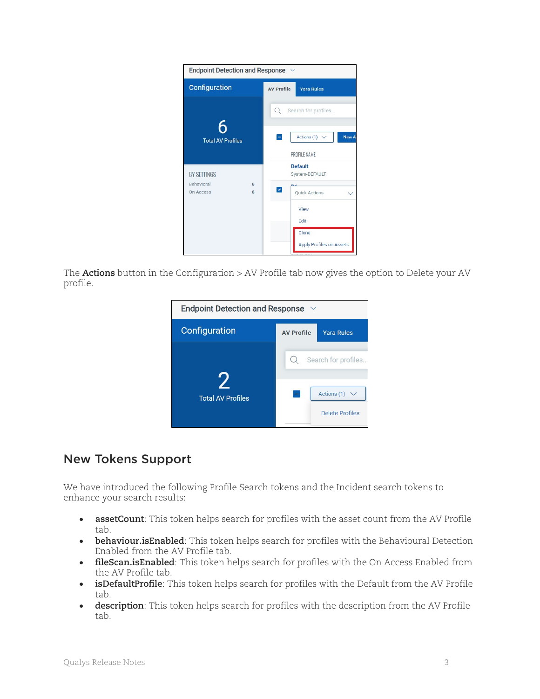

The **Actions** button in the Configuration > AV Profile tab now gives the option to Delete your AV profile.

<span id="page-2-0"></span>

#### New Tokens Support

We have introduced the following Profile Search tokens and the Incident search tokens to enhance your search results:

- **assetCount**: This token helps search for profiles with the asset count from the AV Profile tab.
- **behaviour.isEnabled**: This token helps search for profiles with the Behavioural Detection Enabled from the AV Profile tab.
- **fileScan.isEnabled**: This token helps search for profiles with the On Access Enabled from the AV Profile tab.
- **isDefaultProfile**: This token helps search for profiles with the Default from the AV Profile tab.
- **description**: This token helps search for profiles with the description from the AV Profile tab.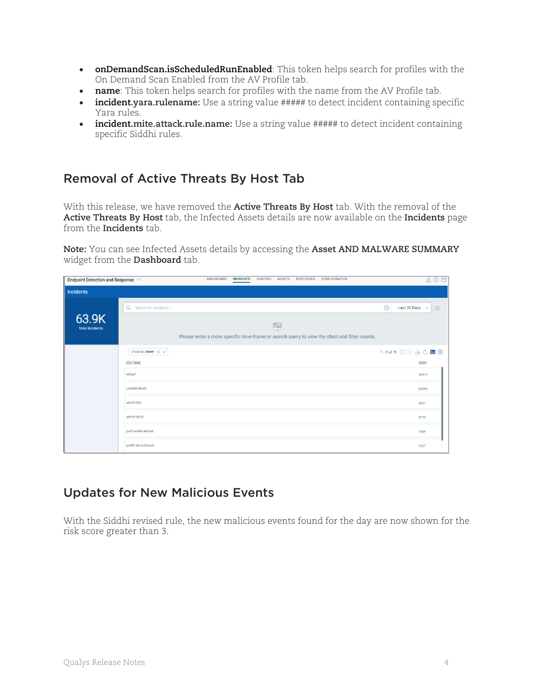- **onDemandScan.isScheduledRunEnabled**: This token helps search for profiles with the On Demand Scan Enabled from the AV Profile tab.
- **name**: This token helps search for profiles with the name from the AV Profile tab.
- **incident.yara.rulename:** Use a string value ##### to detect incident containing specific Yara rules.
- <span id="page-3-0"></span>• **incident.mite.attack.rule.name:** Use a string value ##### to detect incident containing specific Siddhi rules.

#### Removal of Active Threats By Host Tab

With this release, we have removed the **Active Threats By Host** tab. With the removal of the **Active Threats By Host** tab, the Infected Assets details are now available on the **Incidents** page from the **Incidents** tab.

**Note:** You can see Infected Assets details by accessing the **Asset AND MALWARE SUMMARY** widget from the **Dashboard** tab.

| Endpoint Detection and Response $\sim$ |                                                                                                                                                                                                                                                                                                                     | <b>DASHBOARD</b><br><b>INCIDENTS</b><br>HUNTING<br>ASSETS                                          | CONFIGURATION<br>RESPONSES | 800                                        |
|----------------------------------------|---------------------------------------------------------------------------------------------------------------------------------------------------------------------------------------------------------------------------------------------------------------------------------------------------------------------|----------------------------------------------------------------------------------------------------|----------------------------|--------------------------------------------|
| Incidents                              |                                                                                                                                                                                                                                                                                                                     |                                                                                                    |                            |                                            |
|                                        | Q Search for incidents                                                                                                                                                                                                                                                                                              |                                                                                                    |                            | $\odot$<br>Last 30 Days $\vee$<br>$\equiv$ |
| 63.9K<br><b>Total Incidents</b>        |                                                                                                                                                                                                                                                                                                                     | \$<br>Please enter a more specific time-frame or search query to view the chart and filter counts. |                            |                                            |
|                                        | Group By: Asset $\hspace{0.1cm}\times\hspace{0.1cm} \hspace{0.1cm} \hspace{0.1cm} \hspace{0.1cm} \hspace{0.1cm}\hspace{0.1cm}\hspace{0.1cm} \hspace{0.1cm}\hspace{0.1cm}\hspace{0.1cm}\hspace{0.1cm}\hspace{0.1cm}\hspace{0.1cm}\hspace{0.1cm}\hspace{0.1cm}\hspace{0.1cm}\hspace{0.1cm}\times\hspace{0.1cm}\cdots$ |                                                                                                    |                            | 1-9 of 9 3 3 山 C M @                       |
|                                        | <b>ASSET NAME</b>                                                                                                                                                                                                                                                                                                   |                                                                                                    |                            | COUNT                                      |
|                                        | edrga1                                                                                                                                                                                                                                                                                                              |                                                                                                    |                            | 30910                                      |
|                                        | us03edrubu01                                                                                                                                                                                                                                                                                                        |                                                                                                    |                            | 22554                                      |
|                                        | win10-203                                                                                                                                                                                                                                                                                                           |                                                                                                    |                            | 3231                                       |
|                                        | win10-98-92                                                                                                                                                                                                                                                                                                         |                                                                                                    |                            | 3173                                       |
|                                        | pod1-siddhi-akshat                                                                                                                                                                                                                                                                                                  |                                                                                                    |                            | 1989                                       |
|                                        | pod01-do-not-touch                                                                                                                                                                                                                                                                                                  |                                                                                                    |                            | 1027                                       |

#### <span id="page-3-1"></span>Updates for New Malicious Events

With the Siddhi revised rule, the new malicious events found for the day are now shown for the risk score greater than 3.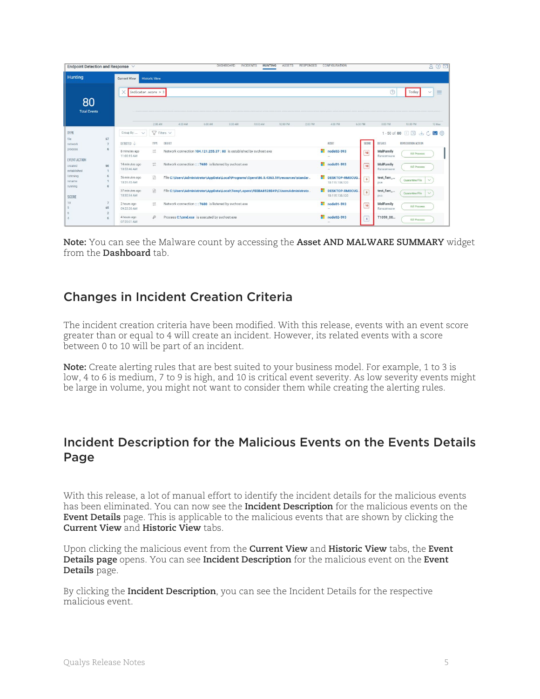| Endpoint Detection and Response V                                                                                                |                           |                                                                         | <b>DASHBOARD</b><br><b>INCIDENTS</b><br><b>HUNTING</b><br><b>RESPONSES</b><br><b>CONFIGURATION</b><br><b>ASSETS</b>                                                 |                                    | $8(2)$ $\Box$                                                                                                        |
|----------------------------------------------------------------------------------------------------------------------------------|---------------------------|-------------------------------------------------------------------------|---------------------------------------------------------------------------------------------------------------------------------------------------------------------|------------------------------------|----------------------------------------------------------------------------------------------------------------------|
| <b>Hunting</b>                                                                                                                   |                           | <b>Current View</b>                                                     | <b>Historic View</b>                                                                                                                                                |                                    |                                                                                                                      |
| 80<br><b>Total Events</b>                                                                                                        |                           | $\times$<br>indication.score > 3                                        |                                                                                                                                                                     |                                    | $\odot$<br>Today<br>$\checkmark$<br>$\equiv$                                                                         |
|                                                                                                                                  |                           |                                                                         | 2:00 AM<br>$MA$ 00 $\Delta$<br>6:00 AM<br>8:00 AM<br>10:00 AM<br>12:00 PM<br>2:00 PM<br>4:00 PM                                                                     | 6-00 PM                            | 8:00 PM<br>10:00 PM<br>13 May                                                                                        |
| <b>TYPE</b><br>file<br>network<br>process                                                                                        | 67<br>$\overline{7}$<br>6 | Group By:<br>$\checkmark$<br>DETECTED J<br>8 minutes ago<br>11:00:15 AM | $\nabla$ Filters $\nabla$<br>OBJECT<br>ASSET<br><b>TYPE</b><br>$^{+0.0}_{-0.0}$<br>node02-593<br>Network connection 104.121.255.37:80 is established by svchost.exe | SCORE<br>10                        | 1-50 of 80 ( ) 」 心 ( ) 圖 @<br><b>DETAILS</b><br><b>REMEDIATION ACTION</b><br>MalFamily<br>Kill Process<br>Ransomware |
| <b>EVENT ACTION</b><br>66<br>created<br>established<br>listening<br>6<br>rename<br>6<br>running<br>SCORE<br>10<br>65<br>$\Omega$ |                           | 14 minutes ago<br>10:53:46 AM                                           | node01-593<br>$\frac{100}{6}$<br>Network connection ::: 7680 is listened by sychost.exe                                                                             | 10                                 | MalFamily<br>Kill Process<br>Ransomware                                                                              |
|                                                                                                                                  |                           | 36 minutes ago<br>10:31:45 AM                                           | $\Box$<br><b>DESKTOP-RMOCUG.</b><br>File C:\Users\Administrator\AppData\Local\Programs\Opera\86.0.4363.59\resources\standar<br>10.115.138.120                       | $\bullet$                          | test_fam_<br>Quarantine File<br>oua                                                                                  |
|                                                                                                                                  |                           | 37 minutes ago<br>10:30:34 AM                                           | ₿<br><b>DESKTOP-RMOCUG.</b><br>File C:\Users\Administrator\AppData\Local\Temp\.opera\FEEBA8528E49\CUsersAdministrato<br>10.115.138.120                              | $\overline{\phantom{a}}$<br>$\sim$ | test_fam_<br>Quarantine File<br>$\checkmark$<br>pua                                                                  |
|                                                                                                                                  |                           | 2 hours ago<br>09:22:20 AM                                              | node01-593<br>Network connection ::: 7680 is listened by svchost.exe<br>$-20$                                                                                       | 10                                 | MalFamily<br>Kill Process<br>Ransomware                                                                              |
| 6                                                                                                                                | $\overline{2}$<br>6       | 4 hours ago<br>07:20:01 AM                                              | node02-593<br>P<br>Process C:\cmd.exe is executed by sychost.exe                                                                                                    | $\overline{4}$                     | T1059_00<br>Kill Process                                                                                             |

**Note:** You can see the Malware count by accessing the **Asset AND MALWARE SUMMARY** widget from the **Dashboard** tab.

#### <span id="page-4-0"></span>Changes in Incident Creation Criteria

The incident creation criteria have been modified. With this release, events with an event score greater than or equal to 4 will create an incident. However, its related events with a score between 0 to 10 will be part of an incident.

**Note:** Create alerting rules that are best suited to your business model. For example, 1 to 3 is low, 4 to 6 is medium, 7 to 9 is high, and 10 is critical event severity. As low severity events might be large in volume, you might not want to consider them while creating the alerting rules.

#### <span id="page-4-1"></span>Incident Description for the Malicious Events on the Events Details Page

With this release, a lot of manual effort to identify the incident details for the malicious events has been eliminated. You can now see the **Incident Description** for the malicious events on the **Event Details** page. This is applicable to the malicious events that are shown by clicking the **Current View** and **Historic View** tabs.

Upon clicking the malicious event from the **Current View** and **Historic View** tabs, the **Event Details page** opens. You can see **Incident Description** for the malicious event on the **Event Details** page.

By clicking the **Incident Description**, you can see the Incident Details for the respective malicious event.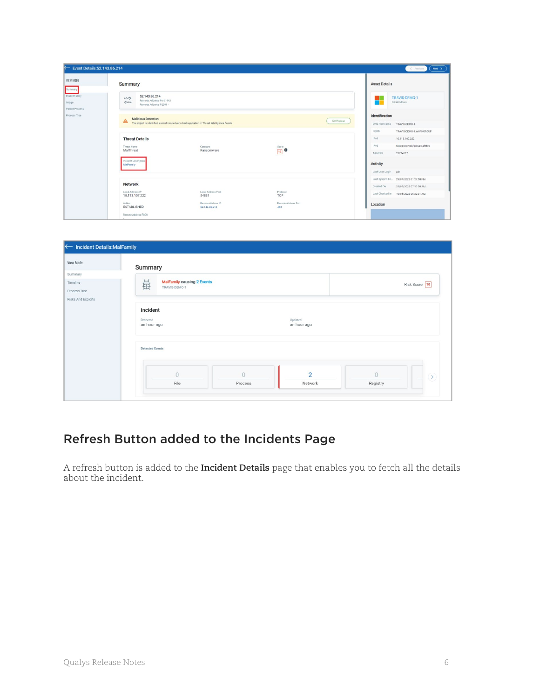| ← Event Details:52.143.86.214            |                                                                                                      |                                                                                                          |                                   |  | New<br>$\langle$ Previous                                                                                                         |  |
|------------------------------------------|------------------------------------------------------------------------------------------------------|----------------------------------------------------------------------------------------------------------|-----------------------------------|--|-----------------------------------------------------------------------------------------------------------------------------------|--|
| VIEW MODE<br>Summary                     | Summary                                                                                              |                                                                                                          |                                   |  | <b>Asset Details</b>                                                                                                              |  |
| Event History<br>Image<br>Parent Process | 52.143.86.214<br>$\circ \circ \circ$<br>Remote Address Port. 443<br>$\phi$<br>Remote Address FQDN: - |                                                                                                          |                                   |  | TRAVIS-DEMO-1<br><b>College</b><br>T<br>OS: Windows                                                                               |  |
| Process Tree                             | <b>Malicious Detection</b><br>₳                                                                      | Kill Process<br>The object is identified as malicious due to bad reputation in Threat Intelligence Feeds |                                   |  |                                                                                                                                   |  |
|                                          | <b>Threat Details</b><br>Threat Name<br>MalThreat                                                    | Category<br>Ransomware                                                                                   | Score<br>$\boxed{10}$ 0           |  | <b>FODN</b><br>TRAVIS-DEMO-1.WORKGROUP<br>IPv4<br>10.113.107.222<br>IPv6<br>fe80:0:0:0:98bf:8b63:74f:ffc9<br>23724517<br>Asset ID |  |
|                                          | Incident Description<br>MalFamily                                                                    |                                                                                                          |                                   |  | Activity<br>Last User Login edr                                                                                                   |  |
|                                          | <b>Network</b><br>Local Address IP                                                                   | Local Address Port                                                                                       | Protocol                          |  | Last System Bo., 29/04/2022 01:27:58 PM<br>Created On<br>23/02/2022 07:30:08 AM                                                   |  |
|                                          | 10.113.107.222<br>Action<br>ESTABLISHED<br>Remote Address FQDN                                       | 54831<br>Remote Address IP<br>52.143.86.214                                                              | TCP<br>Remote Address Port<br>443 |  | Last Checked In 10/05/2022 06:22:01 AM<br>Location                                                                                |  |

| View Mode                           | Summary                             |                                                    |          |                        |          |                               |
|-------------------------------------|-------------------------------------|----------------------------------------------------|----------|------------------------|----------|-------------------------------|
| Summary<br>Timeline<br>Process Tree | 觉                                   | <b>MalFamily causing 2 Events</b><br>TRAVIS-DEMO-1 |          |                        |          | Risk Score 10                 |
| Risks And Exploits                  | Incident<br>Detected<br>an hour ago |                                                    |          | Updated<br>an hour ago |          |                               |
|                                     | <b>Detected Events</b>              |                                                    |          |                        |          |                               |
|                                     |                                     | $\circ$                                            | $\theta$ | $\overline{2}$         | $\theta$ | $\begin{matrix} \end{matrix}$ |
|                                     |                                     |                                                    |          |                        |          |                               |

# <span id="page-5-0"></span>Refresh Button added to the Incidents Page

A refresh button is added to the **Incident Details** page that enables you to fetch all the details about the incident.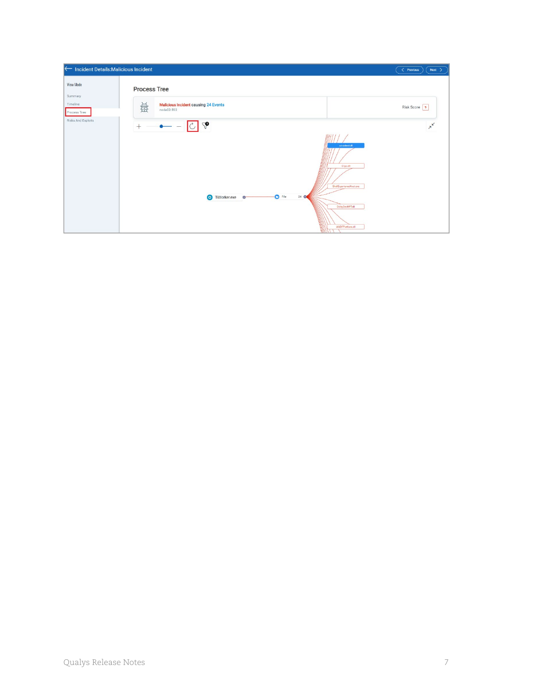| ← Incident Details:Malicious Incident |                                                                             | Next ><br>$\langle$ Previous |
|---------------------------------------|-----------------------------------------------------------------------------|------------------------------|
| <b>View Mode</b><br>Summary           | <b>Process Tree</b>                                                         |                              |
| Timeline<br>Process Tree              | 远<br>Malicious Incident causing 24 Events<br>node02-593                     | Risk Score 9                 |
| Risks And Exploits                    | $\frac{1}{2}$<br>$\Delta$<br>$+$                                            | $x^{k}$                      |
|                                       | wininitext.dll<br>Clipc.cll<br>ShellExperienceHost exe<br>$-CP$ File<br>24C |                              |
|                                       | DolbyDecMFT.dll<br>WUDFPlatform.dll                                         |                              |